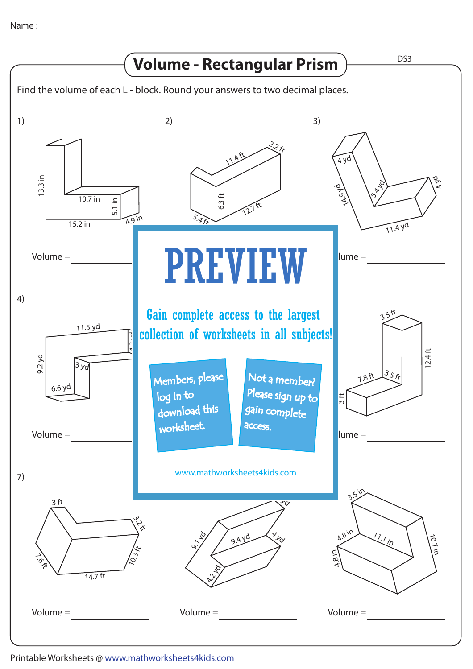